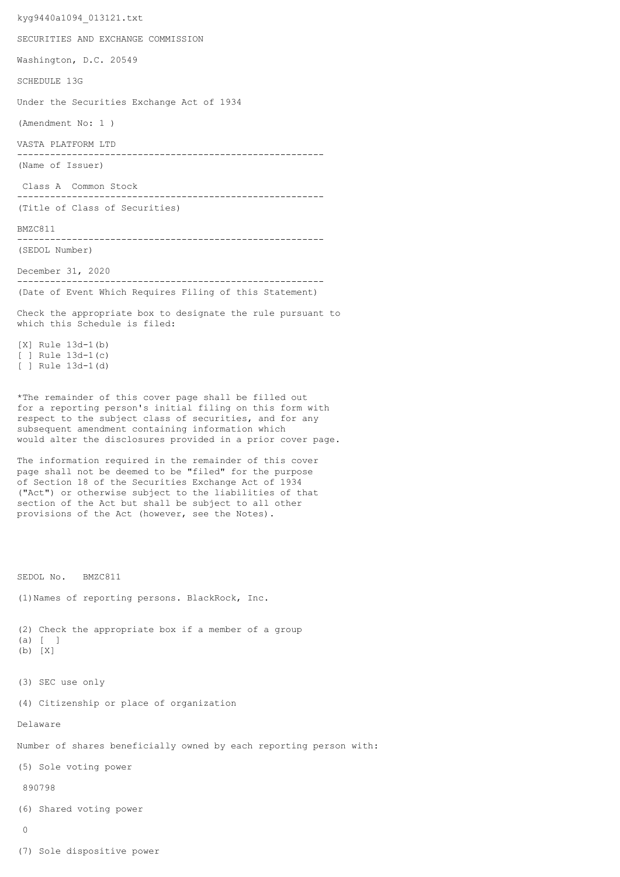kyg9440a1094\_013121.txt SECURITIES AND EXCHANGE COMMISSION Washington, D.C. 20549 SCHEDULE 13G Under the Securities Exchange Act of 1934 (Amendment No: 1 ) VASTA PLATFORM LTD -------------------------------------------------------- (Name of Issuer) Class A Common Stock -------------------------------------------------------- (Title of Class of Securities) BMZC811 -------------------------------------------------------- (SEDOL Number) December 31, 2020 -------------------------------------------------------- (Date of Event Which Requires Filing of this Statement) Check the appropriate box to designate the rule pursuant to which this Schedule is filed: [X] Rule 13d-1(b) [ ] Rule 13d-1(c) [ ] Rule 13d-1(d) \*The remainder of this cover page shall be filled out for a reporting person's initial filing on this form with respect to the subject class of securities, and for any subsequent amendment containing information which would alter the disclosures provided in a prior cover page. The information required in the remainder of this cover page shall not be deemed to be "filed" for the purpose of Section 18 of the Securities Exchange Act of 1934 ("Act") or otherwise subject to the liabilities of that section of the Act but shall be subject to all other provisions of the Act (however, see the Notes). SEDOL No. BMZC811 (1)Names of reporting persons. BlackRock, Inc. (2) Check the appropriate box if a member of a group (a) [ ] (b) [X] (3) SEC use only (4) Citizenship or place of organization Delaware Number of shares beneficially owned by each reporting person with: (5) Sole voting power 890798 (6) Shared voting power  $\cap$ (7) Sole dispositive power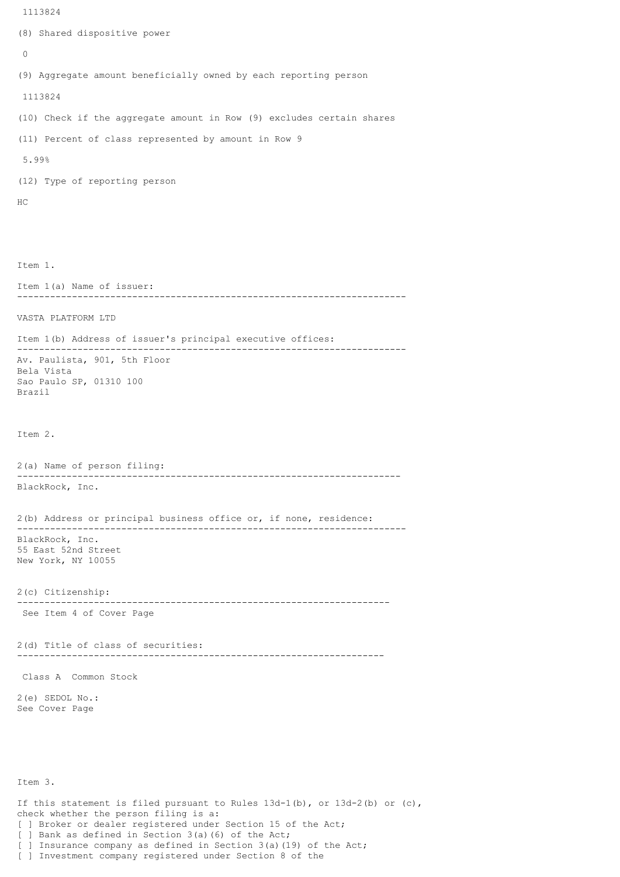```
 1113824
(8) Shared dispositive power
 \Omega(9) Aggregate amount beneficially owned by each reporting person
 1113824
(10) Check if the aggregate amount in Row (9) excludes certain shares
(11) Percent of class represented by amount in Row 9
 5.99%
(12) Type of reporting person
HC
Item 1.
Item 1(a) Name of issuer:
          -----------------------------------------------------------------------
VASTA PLATFORM LTD
Item 1(b) Address of issuer's principal executive offices:
 -----------------------------------------------------------------------
Av. Paulista, 901, 5th Floor
Bela Vista
Sao Paulo SP, 01310 100
Brazil
Item 2.
2(a) Name of person filing:
----------------------------------------------------------------------
BlackRock, Inc.
2(b) Address or principal business office or, if none, residence:
-----------------------------------------------------------------------
BlackRock, Inc.
55 East 52nd Street
New York, NY 10055
2(c) Citizenship:
 --------------------------------------------------------------------
 See Item 4 of Cover Page
2(d) Title of class of securities:
                                   -------------------------------------------------------------------
 Class A Common Stock
2(e) SEDOL No.:
See Cover Page
Item 3.
If this statement is filed pursuant to Rules 13d-1(b), or 13d-2(b) or (c),
check whether the person filing is a:
```
[ ] Broker or dealer registered under Section 15 of the Act;

] Bank as defined in Section 3(a)(6) of the Act;

[ ] Insurance company as defined in Section 3(a)(19) of the Act;

[ ] Investment company registered under Section 8 of the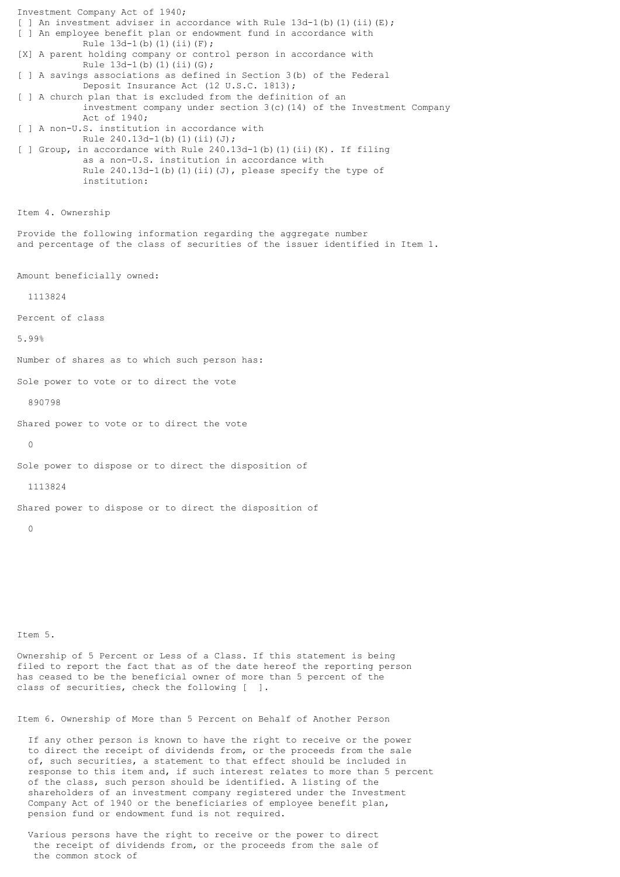Investment Company Act of 1940; [ ] An investment adviser in accordance with Rule  $13d-1$ (b)(1)(ii)(E); [ ] An employee benefit plan or endowment fund in accordance with Rule  $13d-1(b)(1)(ii)(F);$ [X] A parent holding company or control person in accordance with Rule  $13d-1(b)(1)(ii)(G);$ [ ] A savings associations as defined in Section 3(b) of the Federal Deposit Insurance Act (12 U.S.C. 1813); [ ] A church plan that is excluded from the definition of an investment company under section 3(c)(14) of the Investment Company Act of 1940; [ ] A non-U.S. institution in accordance with Rule  $240.13d-1(b)(1)(ii)(J);$ [ ] Group, in accordance with Rule 240.13d-1(b)(1)(ii)(K). If filing as a non-U.S. institution in accordance with Rule  $240.13d-1$ (b)(1)(ii)(J), please specify the type of institution: Item 4. Ownership Provide the following information regarding the aggregate number and percentage of the class of securities of the issuer identified in Item 1. Amount beneficially owned: 1113824 Percent of class 5.99% Number of shares as to which such person has: Sole power to vote or to direct the vote 890798 Shared power to vote or to direct the vote  $\Omega$ Sole power to dispose or to direct the disposition of 1113824 Shared power to dispose or to direct the disposition of  $\cap$ 

Item 5.

Ownership of 5 Percent or Less of a Class. If this statement is being filed to report the fact that as of the date hereof the reporting person has ceased to be the beneficial owner of more than 5 percent of the class of securities, check the following [ ].

Item 6. Ownership of More than 5 Percent on Behalf of Another Person

 If any other person is known to have the right to receive or the power to direct the receipt of dividends from, or the proceeds from the sale of, such securities, a statement to that effect should be included in response to this item and, if such interest relates to more than 5 percent of the class, such person should be identified. A listing of the shareholders of an investment company registered under the Investment Company Act of 1940 or the beneficiaries of employee benefit plan, pension fund or endowment fund is not required.

 Various persons have the right to receive or the power to direct the receipt of dividends from, or the proceeds from the sale of the common stock of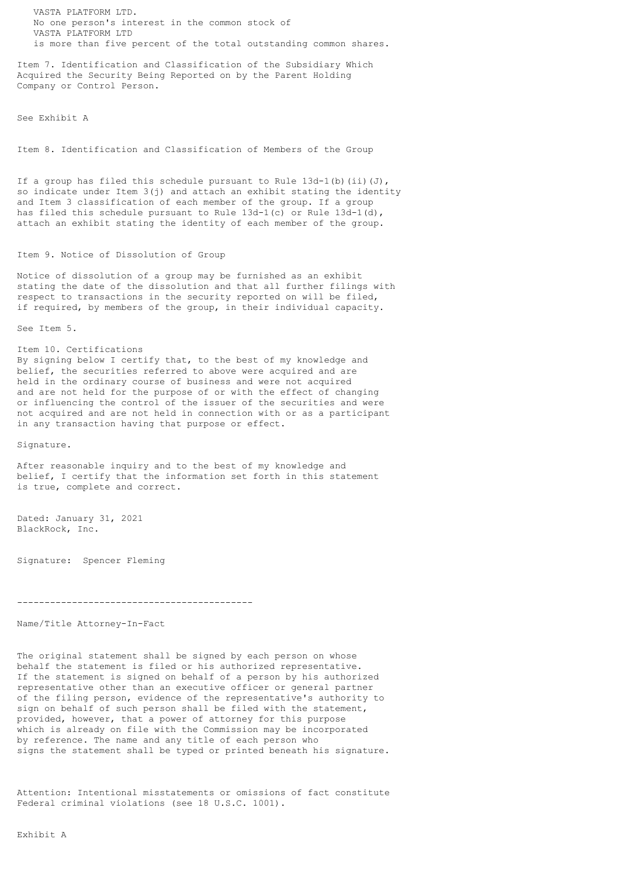VASTA PLATFORM LTD. No one person's interest in the common stock of VASTA PLATFORM LTD is more than five percent of the total outstanding common shares.

Item 7. Identification and Classification of the Subsidiary Which Acquired the Security Being Reported on by the Parent Holding Company or Control Person.

See Exhibit A

Item 8. Identification and Classification of Members of the Group

If a group has filed this schedule pursuant to Rule  $13d-1(b)$  (ii)(J), so indicate under Item 3(j) and attach an exhibit stating the identity and Item 3 classification of each member of the group. If a group has filed this schedule pursuant to Rule  $13d-1(c)$  or Rule  $13d-1(d)$ , attach an exhibit stating the identity of each member of the group.

## Item 9. Notice of Dissolution of Group

Notice of dissolution of a group may be furnished as an exhibit stating the date of the dissolution and that all further filings with respect to transactions in the security reported on will be filed, if required, by members of the group, in their individual capacity.

See Item 5.

## Item 10. Certifications

By signing below I certify that, to the best of my knowledge and belief, the securities referred to above were acquired and are held in the ordinary course of business and were not acquired and are not held for the purpose of or with the effect of changing or influencing the control of the issuer of the securities and were not acquired and are not held in connection with or as a participant in any transaction having that purpose or effect.

Signature.

After reasonable inquiry and to the best of my knowledge and belief, I certify that the information set forth in this statement is true, complete and correct.

Dated: January 31, 2021 BlackRock, Inc.

Signature: Spencer Fleming

-------------------------------------------

Name/Title Attorney-In-Fact

The original statement shall be signed by each person on whose behalf the statement is filed or his authorized representative. If the statement is signed on behalf of a person by his authorized representative other than an executive officer or general partner of the filing person, evidence of the representative's authority to sign on behalf of such person shall be filed with the statement, provided, however, that a power of attorney for this purpose which is already on file with the Commission may be incorporated by reference. The name and any title of each person who signs the statement shall be typed or printed beneath his signature.

Attention: Intentional misstatements or omissions of fact constitute Federal criminal violations (see 18 U.S.C. 1001).